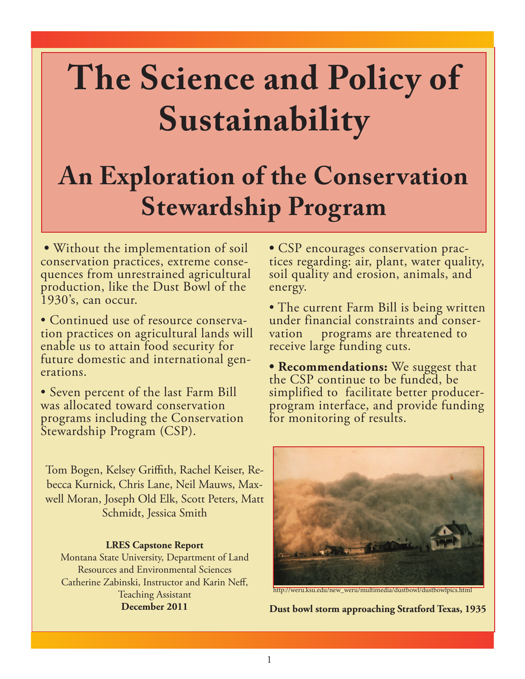# **The Science and Policy of Sustainability**

# **An Exploration of the Conservation Stewardship Program**

 **•** Without the implementation of soil conservation practices, extreme conse- quences from unrestrained agricultural production, like the Dust Bowl of the 1930's, can occur.

• Continued use of resource conserva- tion practices on agricultural lands will enable us to attain food security for future domestic and international gen- erations.

• Seven percent of the last Farm Bill was allocated toward conservation programs including the Conservation Stewardship Program (CSP).

Tom Bogen, Kelsey Griffith, Rachel Keiser, Rebecca Kurnick, Chris Lane, Neil Mauws, Maxwell Moran, Joseph Old Elk, Scott Peters, Matt Schmidt, Jessica Smith

# **LRES Capstone Report**

Montana State University, Department of Land Resources and Environmental Sciences Catherine Zabinski, Instructor and Karin Neff, Teaching Assistant **December 2011**

**•** CSP encourages conservation prac- tices regarding: air, plant, water quality, soil quality and erosion, animals, and energy.

• The current Farm Bill is being written under financial constraints and conser- vation programs are threatened to receive large funding cuts.

**• Recommendations:** We suggest that the CSP continue to be funded, be simplified to facilitate better producerprogram interface, and provide funding for monitoring of results.



http://weru.ksu.edu/new\_weru/multimedia/dustbowl/dustbowlpics.html

**Dust bowl storm approaching Stratford Texas, 1935**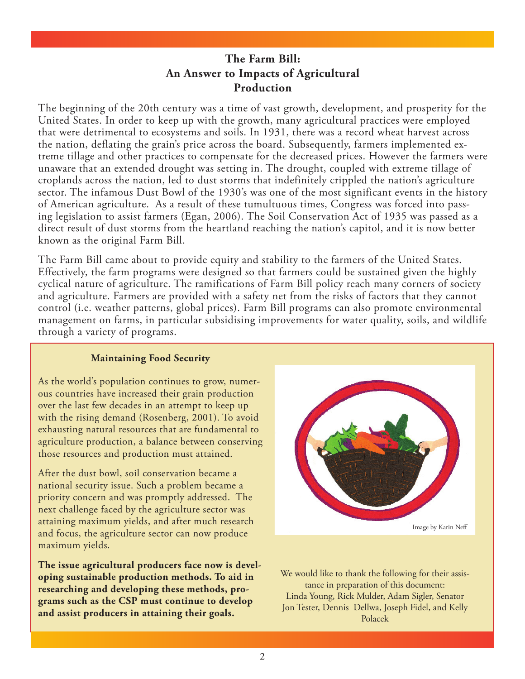# **The Farm Bill: An Answer to Impacts of Agricultural Production**

The beginning of the 20th century was a time of vast growth, development, and prosperity for the United States. In order to keep up with the growth, many agricultural practices were employed that were detrimental to ecosystems and soils. In 1931, there was a record wheat harvest across the nation, deflating the grain's price across the board. Subsequently, farmers implemented extreme tillage and other practices to compensate for the decreased prices. However the farmers were unaware that an extended drought was setting in. The drought, coupled with extreme tillage of croplands across the nation, led to dust storms that indefinitely crippled the nation's agriculture sector. The infamous Dust Bowl of the 1930's was one of the most significant events in the history of American agriculture. As a result of these tumultuous times, Congress was forced into passing legislation to assist farmers (Egan, 2006). The Soil Conservation Act of 1935 was passed as a direct result of dust storms from the heartland reaching the nation's capitol, and it is now better known as the original Farm Bill.

The Farm Bill came about to provide equity and stability to the farmers of the United States. Effectively, the farm programs were designed so that farmers could be sustained given the highly cyclical nature of agriculture. The ramifications of Farm Bill policy reach many corners of society and agriculture. Farmers are provided with a safety net from the risks of factors that they cannot control (i.e. weather patterns, global prices). Farm Bill programs can also promote environmental management on farms, in particular subsidising improvements for water quality, soils, and wildlife through a variety of programs.

# **Maintaining Food Security**

As the world's population continues to grow, numerous countries have increased their grain production over the last few decades in an attempt to keep up with the rising demand (Rosenberg, 2001). To avoid exhausting natural resources that are fundamental to agriculture production, a balance between conserving those resources and production must attained.

After the dust bowl, soil conservation became a national security issue. Such a problem became a priority concern and was promptly addressed. The next challenge faced by the agriculture sector was attaining maximum yields, and after much research and focus, the agriculture sector can now produce maximum yields.

**The issue agricultural producers face now is developing sustainable production methods. To aid in researching and developing these methods, programs such as the CSP must continue to develop and assist producers in attaining their goals.** 



We would like to thank the following for their assistance in preparation of this document: Linda Young, Rick Mulder, Adam Sigler, Senator Jon Tester, Dennis Dellwa, Joseph Fidel, and Kelly Polacek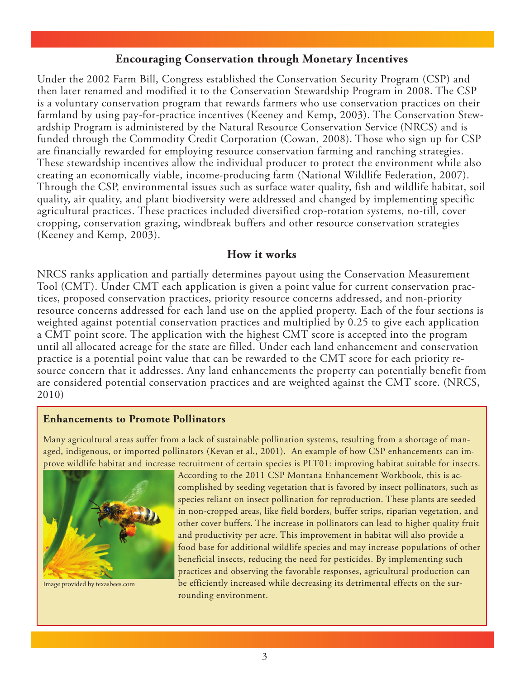# **Encouraging Conservation through Monetary Incentives**

Under the 2002 Farm Bill, Congress established the Conservation Security Program (CSP) and then later renamed and modified it to the Conservation Stewardship Program in 2008. The CSP is a voluntary conservation program that rewards farmers who use conservation practices on their farmland by using pay-for-practice incentives (Keeney and Kemp, 2003). The Conservation Stewardship Program is administered by the Natural Resource Conservation Service (NRCS) and is funded through the Commodity Credit Corporation (Cowan, 2008). Those who sign up for CSP are financially rewarded for employing resource conservation farming and ranching strategies. These stewardship incentives allow the individual producer to protect the environment while also creating an economically viable, income-producing farm (National Wildlife Federation, 2007). Through the CSP, environmental issues such as surface water quality, fish and wildlife habitat, soil quality, air quality, and plant biodiversity were addressed and changed by implementing specific agricultural practices. These practices included diversified crop-rotation systems, no-till, cover cropping, conservation grazing, windbreak buffers and other resource conservation strategies (Keeney and Kemp, 2003).

#### **How it works**

NRCS ranks application and partially determines payout using the Conservation Measurement Tool (CMT). Under CMT each application is given a point value for current conservation practices, proposed conservation practices, priority resource concerns addressed, and non-priority resource concerns addressed for each land use on the applied property. Each of the four sections is weighted against potential conservation practices and multiplied by 0.25 to give each application a CMT point score. The application with the highest CMT score is accepted into the program until all allocated acreage for the state are filled. Under each land enhancement and conservation practice is a potential point value that can be rewarded to the CMT score for each priority resource concern that it addresses. Any land enhancements the property can potentially benefit from are considered potential conservation practices and are weighted against the CMT score. (NRCS, 2010)

#### **Enhancements to Promote Pollinators**

Many agricultural areas suffer from a lack of sustainable pollination systems, resulting from a shortage of managed, indigenous, or imported pollinators (Kevan et al., 2001). An example of how CSP enhancements can improve wildlife habitat and increase recruitment of certain species is PLT01: improving habitat suitable for insects.



Image provided by texasbees.com

According to the 2011 CSP Montana Enhancement Workbook, this is accomplished by seeding vegetation that is favored by insect pollinators, such as species reliant on insect pollination for reproduction. These plants are seeded in non-cropped areas, like field borders, buffer strips, riparian vegetation, and other cover buffers. The increase in pollinators can lead to higher quality fruit and productivity per acre. This improvement in habitat will also provide a food base for additional wildlife species and may increase populations of other beneficial insects, reducing the need for pesticides. By implementing such practices and observing the favorable responses, agricultural production can be efficiently increased while decreasing its detrimental effects on the surrounding environment.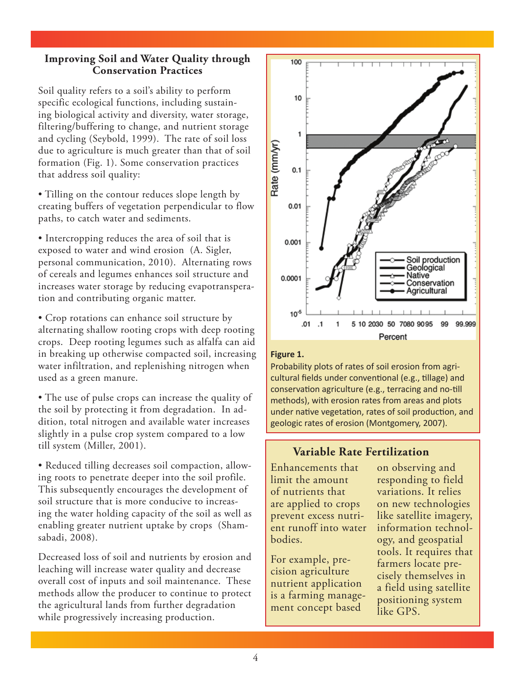## **Improving Soil and Water Quality through Conservation Practices**

Soil quality refers to a soil's ability to perform specific ecological functions, including sustaining biological activity and diversity, water storage, filtering/buffering to change, and nutrient storage and cycling (Seybold, 1999). The rate of soil loss due to agriculture is much greater than that of soil formation (Fig. 1). Some conservation practices that address soil quality:

• Tilling on the contour reduces slope length by creating buffers of vegetation perpendicular to flow paths, to catch water and sediments.

• Intercropping reduces the area of soil that is exposed to water and wind erosion (A. Sigler, personal communication, 2010). Alternating rows of cereals and legumes enhances soil structure and increases water storage by reducing evapotransperation and contributing organic matter.

• Crop rotations can enhance soil structure by alternating shallow rooting crops with deep rooting crops. Deep rooting legumes such as alfalfa can aid in breaking up otherwise compacted soil, increasing water infiltration, and replenishing nitrogen when used as a green manure.

• The use of pulse crops can increase the quality of the soil by protecting it from degradation. In addition, total nitrogen and available water increases slightly in a pulse crop system compared to a low till system (Miller, 2001).

• Reduced tilling decreases soil compaction, allowing roots to penetrate deeper into the soil profile. This subsequently encourages the development of soil structure that is more conducive to increasing the water holding capacity of the soil as well as enabling greater nutrient uptake by crops (Shamsabadi, 2008).

Decreased loss of soil and nutrients by erosion and leaching will increase water quality and decrease overall cost of inputs and soil maintenance. These methods allow the producer to continue to protect the agricultural lands from further degradation while progressively increasing production.



#### **Figure 1.**

Probability plots of rates of soil erosion from agricultural fields under conventional (e.g., tillage) and conservation agriculture (e.g., terracing and no-till methods), with erosion rates from areas and plots under native vegetation, rates of soil production, and geologic rates of erosion (Montgomery, 2007).

# **Variable Rate Fertilization**

Enhancements that limit the amount of nutrients that are applied to crops prevent excess nutrient runoff into water bodies.

For example, precision agriculture nutrient application is a farming management concept based

on observing and responding to field variations. It relies on new technologies like satellite imagery, information technology, and geospatial tools. It requires that farmers locate precisely themselves in a field using satellite positioning system like GPS.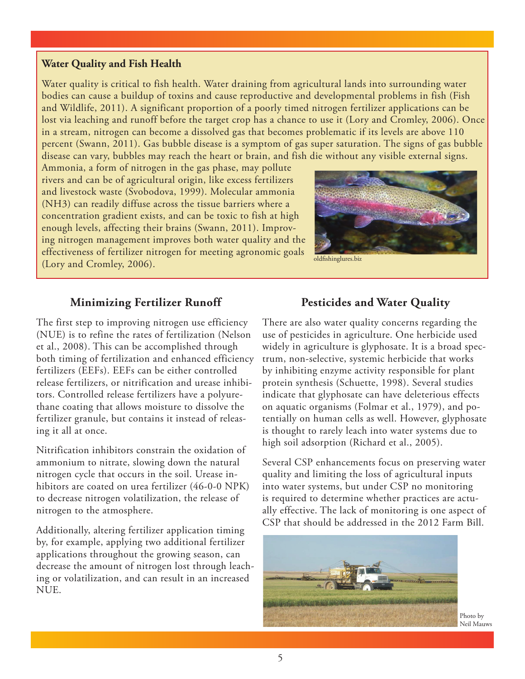#### **Water Quality and Fish Health**

Water quality is critical to fish health. Water draining from agricultural lands into surrounding water bodies can cause a buildup of toxins and cause reproductive and developmental problems in fish (Fish and Wildlife, 2011). A significant proportion of a poorly timed nitrogen fertilizer applications can be lost via leaching and runoff before the target crop has a chance to use it (Lory and Cromley, 2006). Once in a stream, nitrogen can become a dissolved gas that becomes problematic if its levels are above 110 percent (Swann, 2011). Gas bubble disease is a symptom of gas super saturation. The signs of gas bubble disease can vary, bubbles may reach the heart or brain, and fish die without any visible external signs.

Ammonia, a form of nitrogen in the gas phase, may pollute rivers and can be of agricultural origin, like excess fertilizers and livestock waste (Svobodova, 1999). Molecular ammonia (NH3) can readily diffuse across the tissue barriers where a concentration gradient exists, and can be toxic to fish at high enough levels, affecting their brains (Swann, 2011). Improving nitrogen management improves both water quality and the effectiveness of fertilizer nitrogen for meeting agronomic goals (Lory and Cromley, 2006).



oldfishinglures.biz

# **Minimizing Fertilizer Runoff**

The first step to improving nitrogen use efficiency (NUE) is to refine the rates of fertilization (Nelson et al., 2008). This can be accomplished through both timing of fertilization and enhanced efficiency fertilizers (EEFs). EEFs can be either controlled release fertilizers, or nitrification and urease inhibitors. Controlled release fertilizers have a polyurethane coating that allows moisture to dissolve the fertilizer granule, but contains it instead of releasing it all at once.

Nitrification inhibitors constrain the oxidation of ammonium to nitrate, slowing down the natural nitrogen cycle that occurs in the soil. Urease inhibitors are coated on urea fertilizer (46-0-0 NPK) to decrease nitrogen volatilization, the release of nitrogen to the atmosphere.

Additionally, altering fertilizer application timing by, for example, applying two additional fertilizer applications throughout the growing season, can decrease the amount of nitrogen lost through leaching or volatilization, and can result in an increased NUE.

#### **Pesticides and Water Quality**

There are also water quality concerns regarding the use of pesticides in agriculture. One herbicide used widely in agriculture is glyphosate. It is a broad spectrum, non-selective, systemic herbicide that works by inhibiting enzyme activity responsible for plant protein synthesis (Schuette, 1998). Several studies indicate that glyphosate can have deleterious effects on aquatic organisms (Folmar et al., 1979), and potentially on human cells as well. However, glyphosate is thought to rarely leach into water systems due to high soil adsorption (Richard et al., 2005).

Several CSP enhancements focus on preserving water quality and limiting the loss of agricultural inputs into water systems, but under CSP no monitoring is required to determine whether practices are actually effective. The lack of monitoring is one aspect of CSP that should be addressed in the 2012 Farm Bill.



Photo by Neil Mauws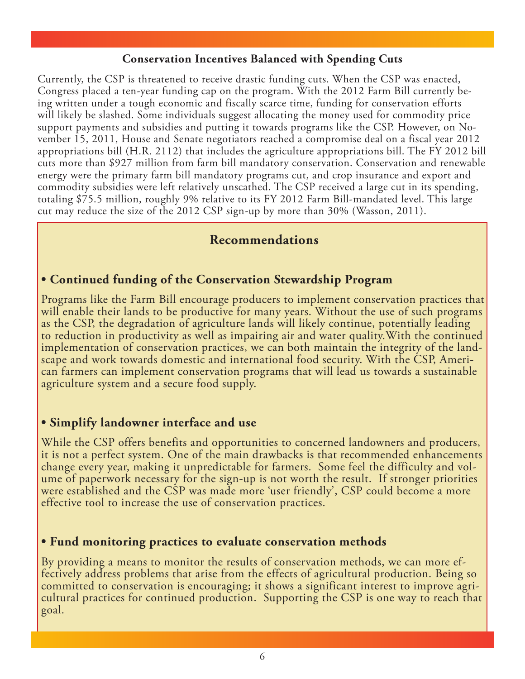# **Conservation Incentives Balanced with Spending Cuts**

Currently, the CSP is threatened to receive drastic funding cuts. When the CSP was enacted, Congress placed a ten-year funding cap on the program. With the 2012 Farm Bill currently being written under a tough economic and fiscally scarce time, funding for conservation efforts will likely be slashed. Some individuals suggest allocating the money used for commodity price support payments and subsidies and putting it towards programs like the CSP. However, on November 15, 2011, House and Senate negotiators reached a compromise deal on a fiscal year 2012 appropriations bill (H.R. 2112) that includes the agriculture appropriations bill. The FY 2012 bill cuts more than \$927 million from farm bill mandatory conservation. Conservation and renewable energy were the primary farm bill mandatory programs cut, and crop insurance and export and commodity subsidies were left relatively unscathed. The CSP received a large cut in its spending, totaling \$75.5 million, roughly 9% relative to its FY 2012 Farm Bill-mandated level. This large cut may reduce the size of the 2012 CSP sign-up by more than 30% (Wasson, 2011).

# **Recommendations**

# **• Continued funding of the Conservation Stewardship Program**

Programs like the Farm Bill encourage producers to implement conservation practices that will enable their lands to be productive for many years. Without the use of such programs as the CSP, the degradation of agriculture lands will likely continue, potentially leading to reduction in productivity as well as impairing air and water quality.With the continued implementation of conservation practices, we can both maintain the integrity of the land-<br>scape and work towards domestic and international food security. With the CSP, Ameri-<br>can farmers can implement conservation program agriculture system and a secure food supply.

# **• Simplify landowner interface and use**

While the CSP offers benefits and opportunities to concerned landowners and producers, it is not a perfect system. One of the main drawbacks is that recommended enhancements ume of paperwork necessary for the sign-up is not worth the result. If stronger priorities were established and the CSP was made more 'user friendly', CSP could become a more effective tool to increase the use of conservation practices.

# **• Fund monitoring practices to evaluate conservation methods**

By providing a means to monitor the results of conservation methods, we can more effectively address problems that arise from the effects of agricultural production. Being so cultural practices for continued production. Supporting the CSP is one way to reach that goal.